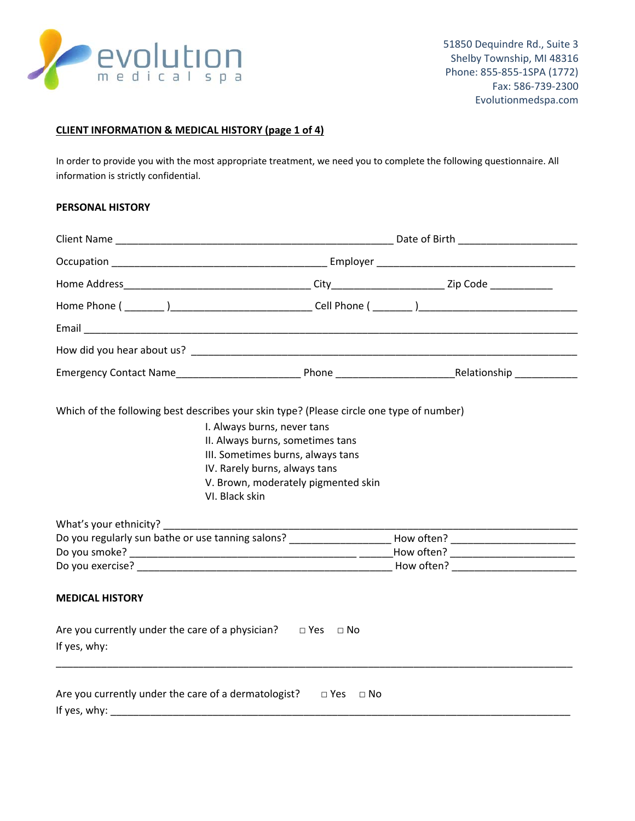

## **CLIENT INFORMATION & MEDICAL HISTORY (page 1 of 4)**

In order to provide you with the most appropriate treatment, we need you to complete the following questionnaire. All information is strictly confidential.

#### **PERSONAL HISTORY**

| Which of the following best describes your skin type? (Please circle one type of number)                   |                                     |  |  |  |
|------------------------------------------------------------------------------------------------------------|-------------------------------------|--|--|--|
|                                                                                                            | I. Always burns, never tans         |  |  |  |
| II. Always burns, sometimes tans                                                                           |                                     |  |  |  |
| III. Sometimes burns, always tans                                                                          |                                     |  |  |  |
|                                                                                                            | IV. Rarely burns, always tans       |  |  |  |
|                                                                                                            | V. Brown, moderately pigmented skin |  |  |  |
| VI. Black skin                                                                                             |                                     |  |  |  |
|                                                                                                            |                                     |  |  |  |
|                                                                                                            |                                     |  |  |  |
| Do you regularly sun bathe or use tanning salons? _____________________How often? ________________________ |                                     |  |  |  |
|                                                                                                            |                                     |  |  |  |
|                                                                                                            |                                     |  |  |  |
| <b>MEDICAL HISTORY</b>                                                                                     |                                     |  |  |  |
| Are you currently under the care of a physician? $\Box$ Yes $\Box$ No                                      |                                     |  |  |  |
| If yes, why:                                                                                               |                                     |  |  |  |
|                                                                                                            |                                     |  |  |  |
| Are you currently under the care of a dermatologist?                                                       | $\Box$ Yes $\Box$ No                |  |  |  |
| If yes, why:                                                                                               |                                     |  |  |  |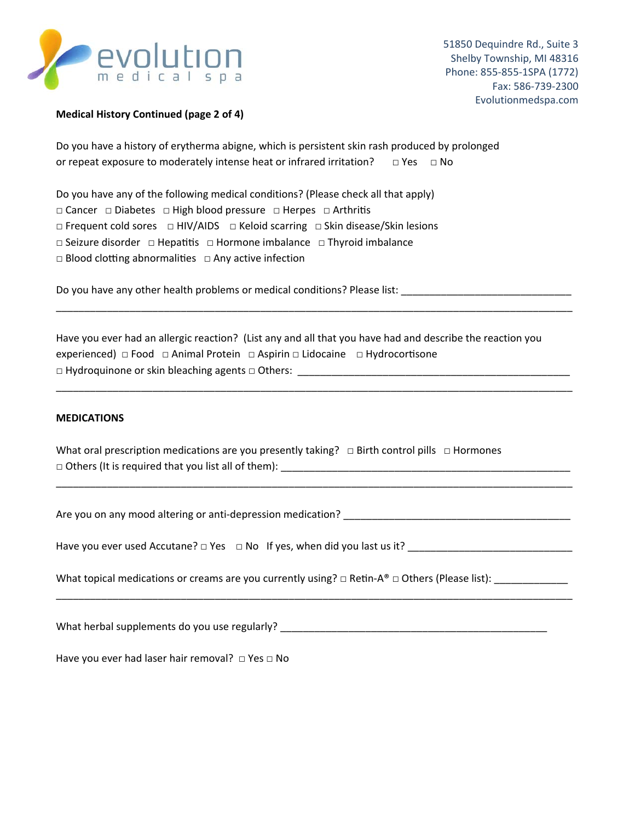

# **Medical History Continued (page 2 of 4)**

Do you have a history of erytherma abigne, which is persistent skin rash produced by prolonged or repeat exposure to moderately intense heat or infrared irritation?  $\Box$  Yes  $\Box$  No

Do you have any of the following medical conditions? (Please check all that apply)

□ Cancer □ Diabetes □ High blood pressure □ Herpes □ Arthritis

 $\Box$  Frequent cold sores  $\Box$  HIV/AIDS  $\Box$  Keloid scarring  $\Box$  Skin disease/Skin lesions

□ Seizure disorder □ Hepatitis □ Hormone imbalance □ Thyroid imbalance

 $\Box$  Blood clotting abnormalities  $\Box$  Any active infection

Do you have any other health problems or medical conditions? Please list: \_\_\_\_\_\_\_\_\_\_\_\_\_\_\_\_\_\_\_\_\_\_\_\_\_\_\_\_\_\_

Have you ever had an allergic reaction? (List any and all that you have had and describe the reaction you experienced) □ Food □ Animal Protein □ Aspirin □ Lidocaine □ Hydrocortisone □ Hydroquinone or skin bleaching agents □ Others: \_\_\_\_\_\_\_\_\_\_\_\_\_\_\_\_\_\_\_\_\_\_\_\_\_\_\_\_\_\_\_\_\_\_\_\_\_\_\_\_\_\_\_\_\_\_\_\_

\_\_\_\_\_\_\_\_\_\_\_\_\_\_\_\_\_\_\_\_\_\_\_\_\_\_\_\_\_\_\_\_\_\_\_\_\_\_\_\_\_\_\_\_\_\_\_\_\_\_\_\_\_\_\_\_\_\_\_\_\_\_\_\_\_\_\_\_\_\_\_\_\_\_\_\_\_\_\_\_\_\_\_\_\_\_\_\_\_\_\_

\_\_\_\_\_\_\_\_\_\_\_\_\_\_\_\_\_\_\_\_\_\_\_\_\_\_\_\_\_\_\_\_\_\_\_\_\_\_\_\_\_\_\_\_\_\_\_\_\_\_\_\_\_\_\_\_\_\_\_\_\_\_\_\_\_\_\_\_\_\_\_\_\_\_\_\_\_\_\_\_\_\_\_\_\_\_\_\_\_\_\_

\_\_\_\_\_\_\_\_\_\_\_\_\_\_\_\_\_\_\_\_\_\_\_\_\_\_\_\_\_\_\_\_\_\_\_\_\_\_\_\_\_\_\_\_\_\_\_\_\_\_\_\_\_\_\_\_\_\_\_\_\_\_\_\_\_\_\_\_\_\_\_\_\_\_\_\_\_\_\_\_\_\_\_\_\_\_\_\_\_\_\_

\_\_\_\_\_\_\_\_\_\_\_\_\_\_\_\_\_\_\_\_\_\_\_\_\_\_\_\_\_\_\_\_\_\_\_\_\_\_\_\_\_\_\_\_\_\_\_\_\_\_\_\_\_\_\_\_\_\_\_\_\_\_\_\_\_\_\_\_\_\_\_\_\_\_\_\_\_\_\_\_\_\_\_\_\_\_\_\_\_\_\_

#### **MEDICATIONS**

What oral prescription medications are you presently taking?  $\Box$  Birth control pills  $\Box$  Hormones □ Others (It is required that you list all of them): \_\_\_\_\_\_\_\_\_\_\_\_\_\_\_\_\_\_\_\_\_\_\_\_\_\_\_\_\_\_\_\_\_\_\_\_\_\_\_\_\_\_\_\_\_\_\_\_\_\_\_

Are you on any mood altering or anti-depression medication? \_\_\_\_\_\_\_\_\_\_\_\_\_\_\_\_\_\_\_\_\_

Have you ever used Accutane?  $\Box$  Yes  $\Box$  No If yes, when did you last us it?

What topical medications or creams are you currently using?  $\Box$  Retin-A®  $\Box$  Others (Please list): \_\_\_\_\_\_\_\_\_\_\_\_\_\_

What herbal supplements do you use regularly? \_\_\_\_\_\_\_\_\_\_\_\_\_\_\_\_\_\_\_\_\_\_\_\_\_\_\_\_\_\_\_\_\_\_\_\_\_\_\_\_\_\_\_\_\_\_\_

Have you ever had laser hair removal?  $\Box$  Yes  $\Box$  No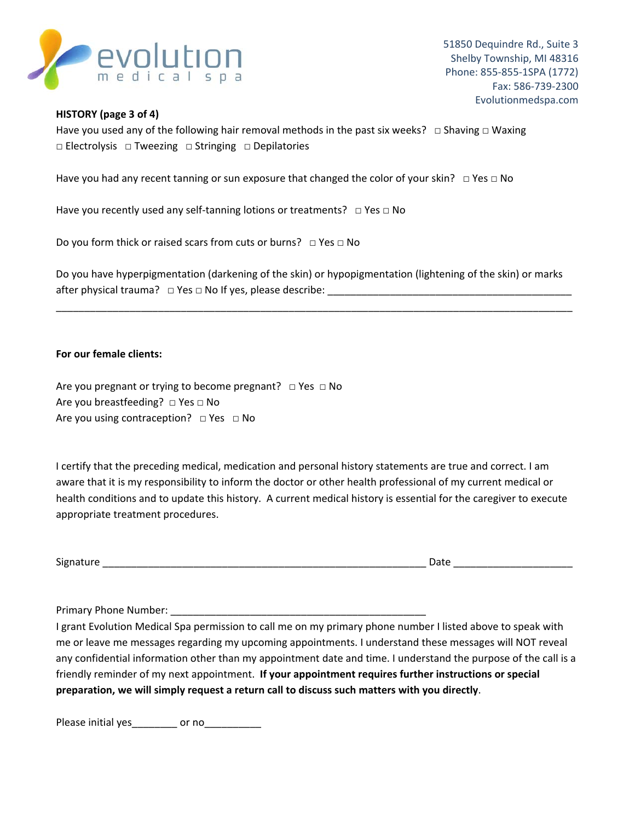

### **HISTORY (page 3 of 4)**

Have you used any of the following hair removal methods in the past six weeks?  $\Box$  Shaving  $\Box$  Waxing □ Electrolysis □ Tweezing □ Stringing □ Depilatories

Have you had any recent tanning or sun exposure that changed the color of your skin?  $\Box$  Yes  $\Box$  No

Have you recently used any self-tanning lotions or treatments? 
□ Yes □ No

Do you form thick or raised scars from cuts or burns? □ Yes □ No

Do you have hyperpigmentation (darkening of the skin) or hypopigmentation (lightening of the skin) or marks after physical trauma? □ Yes □ No If yes, please describe: \_\_\_\_\_\_\_\_\_\_\_\_\_\_\_\_\_\_\_\_\_\_\_\_\_\_\_\_\_\_\_\_\_\_\_\_\_\_\_\_\_\_\_

\_\_\_\_\_\_\_\_\_\_\_\_\_\_\_\_\_\_\_\_\_\_\_\_\_\_\_\_\_\_\_\_\_\_\_\_\_\_\_\_\_\_\_\_\_\_\_\_\_\_\_\_\_\_\_\_\_\_\_\_\_\_\_\_\_\_\_\_\_\_\_\_\_\_\_\_\_\_\_\_\_\_\_\_\_\_\_\_\_\_\_

# **For our female clients:**

Are you pregnant or trying to become pregnant?  $\Box$  Yes  $\Box$  No Are you breastfeeding? □ Yes □ No Are you using contraception?  $\Box$  Yes  $\Box$  No

I certify that the preceding medical, medication and personal history statements are true and correct. I am aware that it is my responsibility to inform the doctor or other health professional of my current medical or health conditions and to update this history. A current medical history is essential for the caregiver to execute appropriate treatment procedures.

| 912ء |        |  |
|------|--------|--|
|      | $\sim$ |  |
|      |        |  |

Primary Phone Number: \_\_\_\_\_\_\_\_

I grant Evolution Medical Spa permission to call me on my primary phone number I listed above to speak with me or leave me messages regarding my upcoming appointments. I understand these messages will NOT reveal any confidential information other than my appointment date and time. I understand the purpose of the call is a friendly reminder of my next appointment. **If your appointment requires further instructions or special preparation, we will simply request a return call to discuss such matters with you directly**.

Please initial yes\_\_\_\_\_\_\_\_\_ or no\_\_\_\_\_\_\_\_\_\_\_